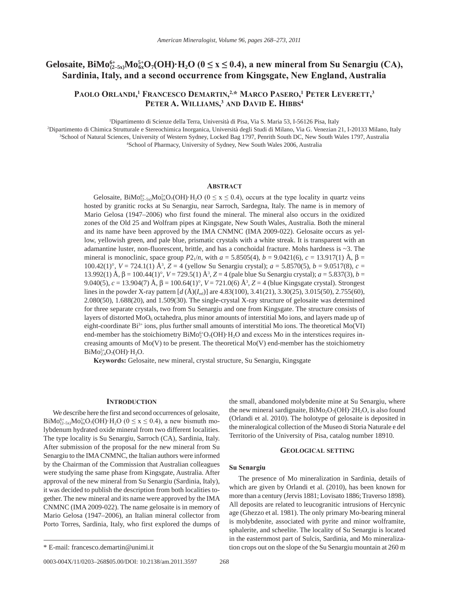# Gelosaite,  $\frac{BiMo^{6+}_{(2-5x)}Mo^{5+}_{(x}O_7(OH) \cdot H_2O (0 \le x \le 0.4),$  a new mineral from Su Senargiu (CA), **Sardinia, Italy, and a second occurrence from Kingsgate, New England, Australia**

## **Paolo Orlandi, 1 Francesco Demartin, 2,\* Marco Pasero, 1 Peter Leverett, 3 Peter A. Williams, <sup>3</sup> and David E. Hibbs4**

1 Dipartimento di Scienze della Terra, Università di Pisa, Via S. Maria 53, I-56126 Pisa, Italy

2 Dipartimento di Chimica Strutturale e Stereochimica Inorganica, Università degli Studi di Milano, Via G. Venezian 21, I-20133 Milano, Italy 3 School of Natural Sciences, University of Western Sydney, Locked Bag 1797, Penrith South DC, New South Wales 1797, Australia 4 School of Pharmacy, University of Sydney, New South Wales 2006, Australia

#### **Abstract**

Gelosaite,  $\frac{\text{BiMo}_{2-5x}^{\text{5+}}\text{Mo}_{6x}^{\text{5+}}\text{O}_7(\text{OH})\cdot\text{H}_2\text{O}$  (0  $\leq$  x  $\leq$  0.4), occurs at the type locality in quartz veins hosted by granitic rocks at Su Senargiu, near Sarroch, Sardegna, Italy. The name is in memory of Mario Gelosa (1947–2006) who first found the mineral. The mineral also occurs in the oxidized zones of the Old 25 and Wolfram pipes at Kingsgate, New South Wales, Australia. Both the mineral and its name have been approved by the IMA CNMNC (IMA 2009-022). Gelosaite occurs as yellow, yellowish green, and pale blue, prismatic crystals with a white streak. It is transparent with an adamantine luster, non-fluorescent, brittle, and has a conchoidal fracture. Mohs hardness is ~3. The mineral is monoclinic, space group  $P2_1/n$ , with  $a = 5.8505(4)$ ,  $b = 9.0421(6)$ ,  $c = 13.917(1)$  Å,  $\beta =$ 100.42(1)°,  $V = 724.1(1)$  Å<sup>3</sup>,  $Z = 4$  (yellow Su Senargiu crystal);  $a = 5.8570(5)$ ,  $b = 9.0517(8)$ ,  $c =$ 13.992(1) Å, β = 100.44(1)°, *V* = 729.5(1) Å3 , *Z* = 4 (pale blue Su Senargiu crystal); *a* = 5.837(3), *b* = 9.040(5), *c* = 13.904(7) Å, β = 100.64(1)°, *V* = 721.0(6) Å3 , *Z* = 4 (blue Kingsgate crystal). Strongest lines in the powder X-ray pattern  $[d(\mathring{A})(I_{rel})]$  are 4.83(100), 3.41(21), 3.30(25), 3.015(50), 2.755(60), 2.080(50), 1.688(20), and 1.509(30). The single-crystal X-ray structure of gelosaite was determined for three separate crystals, two from Su Senargiu and one from Kingsgate. The structure consists of layers of distorted  $MO_6$  octahedra, plus minor amounts of interstitial Mo ions, and layers made up of eight-coordinate  $Bi^{3+}$  ions, plus further small amounts of interstitial Mo ions. The theoretical Mo(VI) end-member has the stoichiometry  $\text{BiMo}_{2}^{6+}\text{O}_{7}(\text{OH})\cdot\text{H}_{2}\text{O}$  and excess Mo in the interstices requires increasing amounts of  $Mo(V)$  to be present. The theoretical  $Mo(V)$  end-member has the stoichiometry  $\rm BiMo_{2.4}^{5+}O_{7}(OH)\cdot H_{2}O.$ 

**Keywords:** Gelosaite, new mineral, crystal structure, Su Senargiu, Kingsgate

## **INTRODUCTION**

We describe here the first and second occurrences of gelosaite,  $\sin M_{{}^{0}(2-5x)}M_{{}^{0}(x)}N_{{}^{0}(x)}(OH) \cdot H_2O$  (0  $\leq$  x  $\leq$  0.4), a new bismuth molybdenum hydrated oxide mineral from two different localities. The type locality is Su Senargiu, Sarroch (CA), Sardinia, Italy. After submission of the proposal for the new mineral from Su Senargiu to the IMA CNMNC, the Italian authors were informed by the Chairman of the Commission that Australian colleagues were studying the same phase from Kingsgate, Australia. After approval of the new mineral from Su Senargiu (Sardinia, Italy), it was decided to publish the description from both localities together. The new mineral and its name were approved by the IMA CNMNC (IMA 2009-022). The name gelosaite is in memory of Mario Gelosa (1947–2006), an Italian mineral collector from Porto Torres, Sardinia, Italy, who first explored the dumps of

#### **Geological setting**

#### **Su Senargiu**

The presence of Mo mineralization in Sardinia, details of which are given by Orlandi et al. (2010), has been known for more than a century (Jervis 1881; Lovisato 1886; Traverso 1898). All deposits are related to leucogranitic intrusions of Hercynic age (Ghezzo et al. 1981). The only primary Mo-bearing mineral is molybdenite, associated with pyrite and minor wolframite, sphalerite, and scheelite. The locality of Su Senargiu is located in the easternmost part of Sulcis, Sardinia, and Mo mineraliza- \* E-mail: francesco.demartin@unimi.it tion crops out on the slope of the Su Senargiu mountain at 260 m

the small, abandoned molybdenite mine at Su Senargiu, where the new mineral sardignaite,  $BiMo<sub>2</sub>O<sub>7</sub>(OH) \cdot 2H<sub>2</sub>O$ , is also found (Orlandi et al. 2010). The holotype of gelosaite is deposited in the mineralogical collection of the Museo di Storia Naturale e del Territorio of the University of Pisa, catalog number 18910.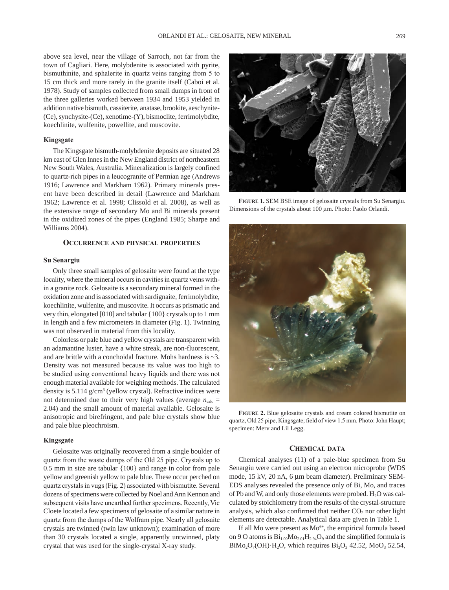above sea level, near the village of Sarroch, not far from the town of Cagliari. Here, molybdenite is associated with pyrite, bismuthinite, and sphalerite in quartz veins ranging from 5 to 15 cm thick and more rarely in the granite itself (Caboi et al. 1978). Study of samples collected from small dumps in front of the three galleries worked between 1934 and 1953 yielded in addition native bismuth, cassiterite, anatase, brookite, aeschynite- (Ce), synchysite-(Ce), xenotime-(Y), bismoclite, ferrimolybdite, koechlinite, wulfenite, powellite, and muscovite.

#### **Kingsgate**

The Kingsgate bismuth-molybdenite deposits are situated 28 km east of Glen Innes in the New England district of northeastern New South Wales, Australia. Mineralization is largely confined to quartz-rich pipes in a leucogranite of Permian age (Andrews 1916; Lawrence and Markham 1962). Primary minerals present have been described in detail (Lawrence and Markham 1962; Lawrence et al. 1998; Clissold et al. 2008), as well as the extensive range of secondary Mo and Bi minerals present in the oxidized zones of the pipes (England 1985; Sharpe and Williams 2004).

## **Occurrence and physical properties**

#### **Su Senargiu**

Only three small samples of gelosaite were found at the type locality, where the mineral occurs in cavities in quartz veins within a granite rock. Gelosaite is a secondary mineral formed in the oxidation zone and is associated with sardignaite, ferrimolybdite, koechlinite, wulfenite, and muscovite. It occurs as prismatic and very thin, elongated [010] and tabular {100} crystals up to 1 mm in length and a few micrometers in diameter (Fig. 1). Twinning was not observed in material from this locality.

Colorless or pale blue and yellow crystals are transparent with an adamantine luster, have a white streak, are non-fluorescent, and are brittle with a conchoidal fracture. Mohs hardness is ~3. Density was not measured because its value was too high to be studied using conventional heavy liquids and there was not enough material available for weighing methods. The calculated density is 5.114 g/cm<sup>3</sup> (yellow crystal). Refractive indices were not determined due to their very high values (average  $n_{\text{calc}} =$ 2.04) and the small amount of material available. Gelosaite is anisotropic and birefringent, and pale blue crystals show blue and pale blue pleochroism.

## **Kingsgate**

Gelosaite was originally recovered from a single boulder of quartz from the waste dumps of the Old 25 pipe. Crystals up to 0.5 mm in size are tabular {100} and range in color from pale yellow and greenish yellow to pale blue. These occur perched on quartz crystals in vugs (Fig. 2) associated with bismutite. Several dozens of specimens were collected by Noel and Ann Kennon and subsequent visits have unearthed further specimens. Recently, Vic Cloete located a few specimens of gelosaite of a similar nature in quartz from the dumps of the Wolfram pipe. Nearly all gelosaite crystals are twinned (twin law unknown); examination of more than 30 crystals located a single, apparently untwinned, platy crystal that was used for the single-crystal X-ray study.

**Figure 1.** SEM BSE image of gelosaite crystals from Su Senargiu. Dimensions of the crystals about 100 µm. Photo: Paolo Orlandi.



#### **Chemical data**

Chemical analyses (11) of a pale-blue specimen from Su Senargiu were carried out using an electron microprobe (WDS mode, 15 kV, 20 nA, 6 µm beam diameter). Preliminary SEM-EDS analyses revealed the presence only of Bi, Mo, and traces of Pb and W, and only those elements were probed.  $H_2O$  was calculated by stoichiometry from the results of the crystal-structure analysis, which also confirmed that neither  $CO<sub>2</sub>$  nor other light elements are detectable. Analytical data are given in Table 1.

If all Mo were present as  $Mo^{6+}$ , the empirical formula based on 9 O atoms is  $Bi_{1,00}Mo_{2,01}H_{2,94}O_9$  and the simplified formula is  $BiMo<sub>2</sub>O<sub>7</sub>(OH)·H<sub>2</sub>O$ , which requires  $Bi<sub>2</sub>O<sub>3</sub>$  42.52, MoO<sub>3</sub> 52.54,

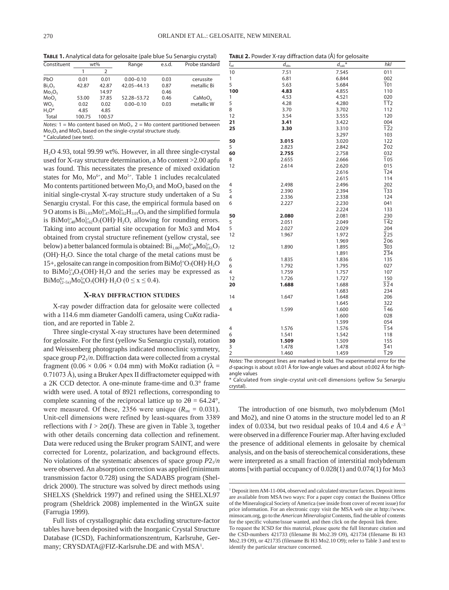**Table 1.** Analytical data for gelosaite (pale blue Su Senargiu crystal)

| Constituent                    | wt%    |                | Range         | e.s.d. | Probe standard     |
|--------------------------------|--------|----------------|---------------|--------|--------------------|
|                                |        | $\overline{2}$ |               |        |                    |
| PbO                            | 0.01   | 0.01           | $0.00 - 0.10$ | 0.03   | cerussite          |
| Bi <sub>2</sub> O <sub>3</sub> | 42.87  | 42.87          | 42.05-44.13   | 0.87   | metallic Bi        |
| Mo <sub>2</sub> O <sub>5</sub> |        | 14.97          |               | 0.46   |                    |
| MoO <sub>3</sub>               | 53.00  | 37.85          | 52.28-53.72   | 0.46   | CaMoO <sub>4</sub> |
| WO <sub>3</sub>                | 0.02   | 0.02           | $0.00 - 0.10$ | 0.03   | metallic W         |
| $H2O*$                         | 4.85   | 4.85           |               |        |                    |
| Total                          | 100.75 | 100.57         |               |        |                    |

Notes: 1 = Mo content based on MoO<sub>3</sub>. 2 = Mo content partitioned between  $Mo<sub>2</sub>O<sub>5</sub>$  and  $MoO<sub>3</sub>$  based on the single-crystal structure study. \* Calculated (see text).

H2O 4.93, total 99.99 wt%. However, in all three single-crystal used for X-ray structure determination, a Mo content >2.00 apfu was found. This necessitates the presence of mixed oxidation states for Mo,  $Mo^{6+}$ , and  $Mo^{5+}$ . Table 1 includes recalculated Mo contents partitioned between  $Mo<sub>2</sub>O<sub>5</sub>$  and  $MoO<sub>3</sub>$  based on the initial single-crystal X-ray structure study undertaken of a Su Senargiu crystal. For this case, the empirical formula based on 9 O atoms is  $Bi_{1.03}Mo_{1.47}^{6+}Mo_{0.62}^{5+}H_{3.01}O_9$  and the simplified formula is  $\frac{BiMo_{1.48}^{6+}}{1.48}Mo_{0.62}^{5+}O_7(OH) \cdot H_2O$ , allowing for rounding errors. Taking into account partial site occupation for Mo3 and Mo4 obtained from crystal structure refinement (yellow crystal, see below) a better balanced formula is obtained:  $Bi_{1,00}Mo_{1,49}^{6+}Mo_{0,61}^{5+}O_7$ (OH)·H2O. Since the total charge of the metal cations must be 15+, gelosaite can range in composition from  $\text{BiMo}_{2}^{6+}\text{O}_{7}(\text{OH})\cdot\text{H}_{2}\text{O}$ to  $BiMo_{2.4}^{5+}O_7(OH) \cdot H_2O$  and the series may be expressed as  $\rm{BiMo}_{(2-5x)}^{6+}\rm{Mo}_{6x}^{5+}O_7(OH)\cdot H_2O$  ( $0 \le x \le 0.4$ ).

## **X-ray diffraction studies**

X-ray powder diffraction data for gelosaite were collected with a 114.6 mm diameter Gandolfi camera, using Cu*K*α radiation, and are reported in Table 2.

Three single-crystal X-ray structures have been determined for gelosaite. For the first (yellow Su Senargiu crystal), rotation and Weissenberg photographs indicated monoclinic symmetry, space group  $P2_1/n$ . Diffraction data were collected from a crystal fragment (0.06  $\times$  0.06  $\times$  0.04 mm) with Mo*K* $\alpha$  radiation ( $\lambda$  = 0.71073 Å), using a Bruker Apex II diffractometer equipped with a 2K CCD detector. A one-minute frame-time and 0.3° frame width were used. A total of 8921 reflections, corresponding to complete scanning of the reciprocal lattice up to  $2\theta = 64.24^{\circ}$ , were measured. Of these, 2356 were unique  $(R<sub>int</sub> = 0.031)$ . Unit-cell dimensions were refined by least-squares from 3389 reflections with  $I > 2\sigma(I)$ . These are given in Table 3, together with other details concerning data collection and refinement. Data were reduced using the Bruker program SAINT, and were corrected for Lorentz, polarization, and background effects. No violations of the systematic absences of space group  $P2_1/n$ were observed. An absorption correction was applied (minimum transmission factor 0.728) using the SADABS program (Sheldrick 2000). The structure was solved by direct methods using SHELXS (Sheldrick 1997) and refined using the SHELXL97 program (Sheldrick 2008) implemented in the WinGX suite (Farrugia 1999).

Full lists of crystallographic data excluding structure-factor tables have been deposited with the Inorganic Crystal Structure Database (ICSD), Fachinformationszentrum, Karlsruhe, Germany; CRYSDATA@FIZ-Karlsruhe.DE and with MSA<sup>1</sup>.

**Table 2.** Powder X-ray diffraction data (Å) for gelosaite

| $I_{\rm rel}$  | $d_{\rm obs}$ | $d_{calc}$ * | hkl                         |
|----------------|---------------|--------------|-----------------------------|
| 10             | 7.51          | 7.545        | 011                         |
| 1              | 6.81          | 6.844        | 002                         |
| 5              | 5.63          | 5.684        | $\overline{1}01$            |
| 100            | 4.83          | 4.855        | 110                         |
| 1              | 4.53          | 4.521        | 020                         |
| 5              | 4.28          | 4.280        | 112                         |
| 8              | 3.70          | 3.702        | 112                         |
| 12             | 3.54          | 3.555        | 120                         |
| 21             | 3.41          | 3.422        | 004                         |
| 25             | 3.30          | 3.310        | $\overline{1}\overline{2}2$ |
|                |               | 3.297        | 103                         |
|                |               |              | 122                         |
| 50<br>5        | 3.015         | 3.020        |                             |
|                | 2.823         | 2.842        | $\overline{2}02$            |
| 60             | 2.755         | 2.758        | 032                         |
| 8              | 2.655         | 2.666        | $\overline{1}$ 05           |
| 12             | 2.614         | 2.620        | 015                         |
|                |               | 2.616        | $\overline{1}24$            |
|                |               | 2.615        | 114                         |
| 4              | 2.498         | 2.496        | 202                         |
| 5              | 2.390         | 2.394        | $\overline{1}33$            |
| 4              | 2.336         | 2.338        | 124                         |
| 6              | 2.227         | 2.230        | 041                         |
|                |               | 2.224        | 133                         |
| 50             | 2.080         | 2.081        | 230                         |
| 5              | 2.051         | 2.049        | $\overline{142}$            |
| 5              | 2.027         | 2.029        | 204                         |
| 12             | 1.967         | 1.972        | $\overline{2}$ 25           |
|                |               | 1.969        | $\overline{2}06$            |
| 12             | 1.890         | 1.895        | 303                         |
|                |               | 1.891        | $\overline{2}$ 34           |
| 6              | 1.835         | 1.836        | 135                         |
| 6              | 1.792         | 1.795        | 027                         |
| 4              | 1.759         | 1.757        | 107                         |
| 12             | 1.726         | 1.727        | 150                         |
| 20             | 1.688         | 1.688        | 324                         |
|                |               | 1.683        | 234                         |
| 14             | 1.647         | 1.648        | 206                         |
|                |               | 1.645        | 322                         |
| 4              | 1.599         | 1.600        | $\overline{1}$ 46           |
|                |               | 1.600        | 028                         |
|                |               | 1.599        | 054                         |
| 4              | 1.576         | 1.576        | $\overline{1}$ 54           |
| 6              | 1.541         | 1.542        | 118                         |
| 30             | 1.509         | 1.509        | 155                         |
| 3              | 1.478         | 1.478        | 341                         |
| $\overline{2}$ | 1.460         | 1.459        | $\overline{1}$ 29           |
|                |               |              |                             |

Notes: The strongest lines are marked in bold. The experimental error for the d-spacings is about  $\pm 0.01$  Å for low-angle values and about  $\pm 0.002$  Å for highangle values

\* Calculated from single-crystal unit-cell dimensions (yellow Su Senargiu crystal).

The introduction of one bismuth, two molybdenum (Mo1 and Mo2), and nine O atoms in the structure model led to an *R* index of 0.0334, but two residual peaks of 10.4 and 4.6  $e \text{ Å}^{-3}$ were observed in a difference Fourier map. After having excluded the presence of additional elements in gelosaite by chemical analysis, and on the basis of stereochemical considerations, these were interpreted as a small fraction of interstitial molybdenum atoms [with partial occupancy of 0.028(1) and 0.074(1) for Mo3

<sup>&</sup>lt;sup>1</sup> Deposit item AM-11-004, observed and calculated structure factors. Deposit items are available from MSA two ways: For a paper copy contact the Business Office of the Mineralogical Society of America (see inside front cover of recent issue) for price information. For an electronic copy visit the MSA web site at http://www. minsocam.org, go to the *American Mineralogist* Contents, find the table of contents for the specific volume/issue wanted, and then click on the deposit link there.

To request the ICSD for this material, please quote the full literature citation and the CSD-numbers 421733 (filename Bi Mo2.39 O9), 421734 (filename Bi H3 Mo2.19 O9), or 421735 (filename Bi H3 Mo2.10 O9); refer to Table 3 and text to identify the particular structure concerned.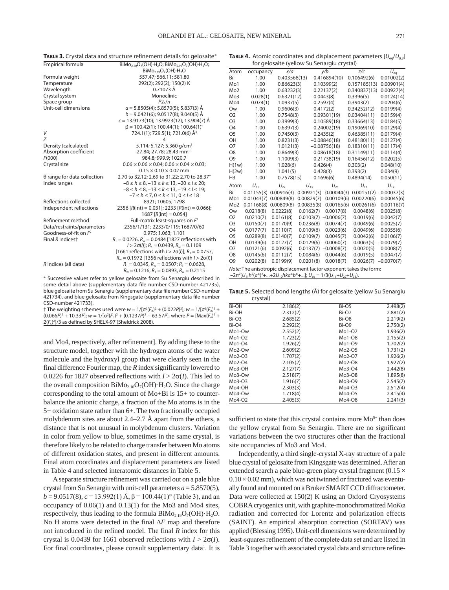| <b>TABLE 3.</b> Crystal data and structure refinement details for gelosaite* |                                                                                                                       |  |  |  |
|------------------------------------------------------------------------------|-----------------------------------------------------------------------------------------------------------------------|--|--|--|
| Empirical formula                                                            | BiMo <sub>2.10</sub> O <sub>7</sub> (OH)·H <sub>2</sub> O; BiMo <sub>2.19</sub> O <sub>7</sub> (OH)·H <sub>2</sub> O; |  |  |  |
|                                                                              | $BiMo_{239}O_7(OH)·H_2O$                                                                                              |  |  |  |
| Formula weight                                                               | 557.47; 566.11; 581.80                                                                                                |  |  |  |
| Temperature                                                                  | 292(2); 292(2); 150(2) K                                                                                              |  |  |  |
| Wavelength                                                                   | 0.71073 Å                                                                                                             |  |  |  |
| Crystal system                                                               | Monoclinic                                                                                                            |  |  |  |
| Space group                                                                  | P2 <sub>1</sub> /n                                                                                                    |  |  |  |
| Unit-cell dimensions                                                         | $a = 5.8505(4)$ ; 5.8570(5); 5.837(3) Å                                                                               |  |  |  |
|                                                                              | $b = 9.0421(6)$ ; 9.0517(8); 9.040(5) Å                                                                               |  |  |  |
|                                                                              | $c = 13.9173(10)$ ; 13.9923(12); 13.904(7) Å                                                                          |  |  |  |
|                                                                              | $\beta$ = 100.42(1); 100.44(1); 100.64(1) <sup>o</sup>                                                                |  |  |  |
| V                                                                            | 724.1(1); 729.5(1); 721.0(6) Å <sup>3</sup>                                                                           |  |  |  |
| Z                                                                            | 4                                                                                                                     |  |  |  |
| Density (calculated)                                                         | 5.114; 5.127; 5.360 g/cm <sup>3</sup>                                                                                 |  |  |  |
| Absorption coefficient                                                       | 27.84; 27.78; 28.43 mm <sup>-1</sup>                                                                                  |  |  |  |
| F(000)                                                                       | 984.8: 999.9: 1020.7                                                                                                  |  |  |  |
| Crystal size                                                                 | $0.06 \times 0.06 \times 0.04$ ; $0.06 \times 0.04 \times 0.03$ ;                                                     |  |  |  |
|                                                                              | $0.15 \times 0.10 \times 0.02$ mm                                                                                     |  |  |  |
| θ range for data collection                                                  | 2.70 to 32.12; 2.69 to 31.22; 2.70 to 28.37°                                                                          |  |  |  |
| Index ranges                                                                 | $-8 \le h \le 8, -13 \le k \le 13, -20 \le l \le 20;$                                                                 |  |  |  |
|                                                                              | $-8 \le h \le 8, -13 \le k \le 13, -19 \le l \le 19;$                                                                 |  |  |  |
|                                                                              | $-7 \le h \le 7, 0 \le k \le 11, 0 \le l \le 18$                                                                      |  |  |  |
| Reflections collected                                                        | 8921; 10605; 1798                                                                                                     |  |  |  |
| Independent reflections                                                      | 2356 [ $R(int) = 0.031$ ]; 2233 [ $R(int) = 0.066$ ];                                                                 |  |  |  |
|                                                                              | 1687 $[R(int) = 0.054]$                                                                                               |  |  |  |
| Refinement method                                                            | Full-matrix least-squares on $F^2$                                                                                    |  |  |  |
| Data/restraints/parameters                                                   | 2356/1/131; 2233/0/119; 1687/0/60                                                                                     |  |  |  |
| Goodness-of-fit on $F^2$                                                     | 0.975; 1.063; 1.101                                                                                                   |  |  |  |
| Final R indicest                                                             | $R_1 = 0.0226$ , $R_w = 0.0484$ [1827 reflections with                                                                |  |  |  |
|                                                                              | $l > 2\sigma(l)$ ; $R_1 = 0.0439$ , $R_w = 0.1109$                                                                    |  |  |  |
|                                                                              | [1661 reflections with $l > 2\sigma(l)$ ]; $R_1 = 0.0757$ ,                                                           |  |  |  |
|                                                                              | $R_w = 0.1972$ [1356 reflections with $l > 2\sigma(l)$ ]                                                              |  |  |  |
| R indices (all data)                                                         | $R_1 = 0.0345$ , $R_w = 0.0507$ ; $R_1 = 0.0628$ ,                                                                    |  |  |  |
|                                                                              | $R_w = 0.1216$ ; $R_1 = 0.0893$ , $R_w = 0.2115$                                                                      |  |  |  |

\* Successive values refer to yellow gelosaite from Su Senargiu described in some detail above (supplementary data file number CSD-number 421735), blue gelosaite from Su Senargiu (supplementary data file number CSD-number 421734), and blue gelosaite from Kingsgate (supplementary data file number CSD-number 421733).

† The weighting schemes used were  $w = 1/[\sigma^2(F_0)^2 + (0.022P)^2]$ ;  $w = 1/[\sigma^2(F_0)^2 +$  $(0.066P)^2 + 10.33P$ ;  $w = 1/[\sigma^2(F_0)^2 + (0.1237P)^2 + 63.57P]$ , where  $P = [Max(F_0)^2 +$  $2(F_c)^2$ ]/3 as defined by SHELX-97 (Sheldrick 2008).

and Mo4, respectively, after refinement]. By adding these to the structure model, together with the hydrogen atoms of the water molecule and the hydroxyl group that were clearly seen in the final difference Fourier map, the *R* index significantly lowered to 0.0226 for 1827 observed reflections with  $I > 2\sigma(I)$ . This led to the overall composition  $\text{BiMo}_{2,10}\text{O}_7(\text{OH})\cdot\text{H}_2\text{O}$ . Since the charge corresponding to the total amount of Mo+Bi is 15+ to counterbalance the anionic charge, a fraction of the Mo atoms is in the 5+ oxidation state rather than 6+. The two fractionally occupied molybdenum sites are about 2.4–2.7 Å apart from the others, a distance that is not unusual in molybdenum clusters. Variation in color from yellow to blue, sometimes in the same crystal, is therefore likely to be related to charge transfer between Mo atoms of different oxidation states, and present in different amounts. Final atom coordinates and displacement parameters are listed in Table 4 and selected interatomic distances in Table 5.

A separate structure refinement was carried out on a pale blue crystal from Su Senargiu with unit-cell parameters  $a = 5.8570(5)$ ,  $b = 9.0517(8)$ ,  $c = 13.992(1)$  Å,  $\beta = 100.44(1)$ ° (Table 3), and an occupancy of 0.06(1) and 0.13(1) for the Mo3 and Mo4 sites, respectively, thus leading to the formula  $\text{BiMo}_{2.19}\text{O}_7(\text{OH})\cdot\text{H}_2\text{O}.$ No H atoms were detected in the final ∆*F* map and therefore not introduced in the refined model. The final *R* index for this crystal is 0.0439 for 1661 observed reflections with  $I > 2\sigma(I)$ . For final coordinates, please consult supplementary data<sup>1</sup>. It is

**TABLE 4.** Atomic coordinates and displacement parameters  $[U_{eq}/U_{(i,j)}]$ for gelosaite (yellow Su Senargiu crystal)

| ior gelosane (yellow sa serialgia ei ystal)                        |            |                                                                                        |  |            |                |              |              |                 |  |
|--------------------------------------------------------------------|------------|----------------------------------------------------------------------------------------|--|------------|----------------|--------------|--------------|-----------------|--|
| Atom                                                               | occupancy  | x/a                                                                                    |  |            | y/b            |              | Z/c          | $U_{\text{eq}}$ |  |
| Bi                                                                 | 1.00       | 0.403568(13)                                                                           |  |            | 0.416894(10)   |              | 0.106492(6)  | 0.01002(2)      |  |
| Mo1                                                                | 1.00       | 0.86623(3)                                                                             |  |            | 0.10399(2)     |              | 0.157185(13) | 0.00901(4)      |  |
| Mo <sub>2</sub>                                                    | 1.00       | 0.63232(3)                                                                             |  |            | 0.22137(2)     |              | 0.340837(13) | 0.00927(4)      |  |
| Mo <sub>3</sub>                                                    | 0.028(1)   | 0.6321(12)                                                                             |  |            | $-0.0443(8)$   |              | 0.3396(5)    | 0.0124(14)      |  |
| Mo4                                                                | 0.074(1)   | 1.0937(5)                                                                              |  |            | 0.2597(4)      |              | 0.3943(2)    | 0.0204(6)       |  |
| <b>Ow</b>                                                          | 1.00       | 0.9606(3)                                                                              |  |            | 0.4172(2)      |              | 0.34252(12)  | 0.0199(4)       |  |
| O <sub>2</sub>                                                     | 1.00       | 0.7548(3)                                                                              |  |            | 0.09301(19)    |              | 0.03404(11)  | 0.0159(4)       |  |
| O <sub>3</sub>                                                     | 1.00       | 0.3999(3)                                                                              |  |            | 0.10589(18)    |              | 0.33664(13)  | 0.0184(5)       |  |
| O <sub>4</sub>                                                     | 1.00       | 0.6397(3)                                                                              |  |            | 0.24002(19)    |              | 0.19069(10)  | 0.0129(4)       |  |
| O <sub>5</sub>                                                     | 1.00       | 0.7450(3)                                                                              |  |            | 0.2435(2)      |              | 0.46385(11)  | 0.0179(4)       |  |
| OH                                                                 | 1.00       | 0.8231(3)                                                                              |  |            | $-0.08846(18)$ |              | 0.48180(11)  | 0.0127(4)       |  |
| 07                                                                 | 1.00       | 1.0121(3)                                                                              |  |            | $-0.08756(18)$ |              | 0.18310(11)  | 0.0117(4)       |  |
| O <sub>8</sub>                                                     | 1.00       | 0.8649(3)                                                                              |  |            | 0.08618(18)    |              | 0.31149(11)  | 0.0114(4)       |  |
| O <sub>9</sub>                                                     | 1.00       | 1.1009(3)                                                                              |  |            | 0.21738(19)    |              | 0.16456(12)  | 0.0202(5)       |  |
| H(1w)                                                              | 1.00       | 1.028(6)                                                                               |  |            | 0.426(4)       |              | 0.303(2)     | 0.048(10)       |  |
| H(2w)                                                              | 1.00       | 1.041(5)                                                                               |  |            | 0.428(3)       |              | 0.393(2)     | 0.034(9)        |  |
| H3                                                                 | 1.00       | 0.7578(15)                                                                             |  |            | $-0.1696(6)$   |              | 0.4894(14)   | 0.050(11)       |  |
| Atom                                                               | $U_{11}$   | $U_{22}$                                                                               |  | $U_{33}$   |                | $U_{23}$     | $U_{13}$     | $U_{12}$        |  |
| Bi                                                                 | 0.01155(3) | 0.00916(3)                                                                             |  | 0.00921(3) |                | 0.00044(3)   | 0.00151(2)   | $-0.00037(3)$   |  |
| Mo1                                                                | 0.01043(7) | 0.00849(8)                                                                             |  | 0.00829(7) |                | 0.00109(6)   | 0.00220(6)   | 0.00045(6)      |  |
| Mo <sub>2</sub>                                                    | 0.01168(8) | 0.00809(8)                                                                             |  | 0.00835(8) |                | 0.00165(6)   | 0.00261(6)   | 0.00116(7)      |  |
| Ow                                                                 | 0.0218(8)  | 0.0222(8)                                                                              |  | 0.0162(7)  |                | 0.0017(8)    | 0.0048(6)    | 0.0025(8)       |  |
| O <sub>2</sub>                                                     | 0.0210(7)  | 0.0161(8)                                                                              |  | 0.0103(7)  |                | $-0.0006(7)$ | 0.0019(6)    | 0.0042(7)       |  |
| O <sub>3</sub>                                                     | 0.0150(7)  | 0.0170(9)                                                                              |  | 0.0236(8)  |                | 0.0074(7)    | 0.0049(6)    | $-0.0025(7)$    |  |
| O4                                                                 | 0.0177(7)  | 0.0110(7)                                                                              |  | 0.0109(6)  |                | 0.0023(6)    | 0.0049(6)    | 0.0055(6)       |  |
| O5                                                                 | 0.0289(8)  | 0.0140(7)                                                                              |  | 0.0109(7)  |                | 0.0045(7)    | 0.0042(6)    | 0.0106(7)       |  |
| OH                                                                 | 0.0139(6)  | 0.0127(7)                                                                              |  | 0.0129(6)  |                | $-0.0060(7)$ | 0.0063(5)    | $-0.0079(7)$    |  |
| 07                                                                 | 0.0121(6)  | 0.0092(6)                                                                              |  | 0.0137(7)  |                | $-0.0008(7)$ | 0.0020(5)    | 0.0008(7)       |  |
| O <sub>8</sub>                                                     | 0.0145(6)  | 0.0112(7)                                                                              |  | 0.0084(6)  |                | 0.0044(6)    | 0.0019(5)    | 0.0047(7)       |  |
| O9                                                                 | 0.0202(8)  | 0.0199(9)                                                                              |  | 0.0201(8)  |                | 0.0018(7)    | 0.0026(7)    | $-0.0070(7)$    |  |
| Note: The anisotropic displacement factor exponent takes the form: |            |                                                                                        |  |            |                |              |              |                 |  |
|                                                                    |            | $-2\pi^2[U_{11}h^2(a^*)^2++2U_{12}hka^*b^*+]$ ; $U_{eq} = 1/3(U_{11}+U_{22}+U_{33})$ . |  |            |                |              |              |                 |  |

**Table 5.** Selected bond lengths (Å) for gelosaite (yellow Su Senargiu crystal)

| $-1, 3 - 3, 1, 1$   |          |          |          |
|---------------------|----------|----------|----------|
| Bi-OH               | 2.186(2) | Bi-O5    | 2.498(2) |
| Bi-OH               | 2.312(2) | Bi-O7    | 2.881(2) |
| Bi-O <sub>3</sub>   | 2.685(2) | Bi-O8    | 2.219(2) |
| Bi-O4               | 2.292(2) | Bi-O9    | 2.750(2) |
| Mo1-Ow              | 2.552(2) | $Mo1-O7$ | 1.936(2) |
| $Mo1-O2$            | 1.723(2) | Mo1-O8   | 2.155(2) |
| Mo1-04              | 1.926(2) | Mo1-O9   | 1.702(2) |
| Mo <sub>2</sub> -Ow | 2.609(2) | $Mo2-O5$ | 1.731(2) |
| $Mo2-O3$            | 1.707(2) | $Mo2-O7$ | 1.926(2) |
| Mo2-O4              | 2.105(2) | Mo2-O8   | 1.927(2) |
| Mo3-OH              | 2.127(7) | $Mo3-O4$ | 2.442(8) |
| Mo3-Ow              | 2.518(7) | $Mo3-O8$ | 1.895(8) |
| Mo3-O3              | 1.916(7) | Mo3-O9   | 2.545(7) |
| Mo4-OH              | 2.303(3) | $Mo4-O3$ | 2.512(4) |
| Mo4-Ow              | 1.718(4) | Mo4-05   | 2.415(4) |
| Mo4-02              | 2.405(3) | Mo4-O8   | 2.241(3) |
|                     |          |          |          |

sufficient to state that this crystal contains more Mo<sup>5+</sup> than does the yellow crystal from Su Senargiu. There are no significant variations between the two structures other than the fractional site occupancies of Mo3 and Mo4.

Independently, a third single-crystal X-ray structure of a pale blue crystal of gelosaite from Kingsgate was determined. After an extended search a pale blue-green platy crystal fragment ( $0.15 \times$  $0.10 \times 0.02$  mm), which was not twinned or fractured was eventually found and mounted on a Bruker SMART CCD diffractometer. Data were collected at 150(2) K using an Oxford Cryosystems COBRA cryogenics unit, with graphite-monochromatized Mo*K*α radiation and corrected for Lorentz and polarization effects (SAINT). An empirical absorption correction (SORTAV) was applied (Blessing 1995). Unit-cell dimensions were determined by least-squares refinement of the complete data set and are listed in Table 3 together with associated crystal data and structure refine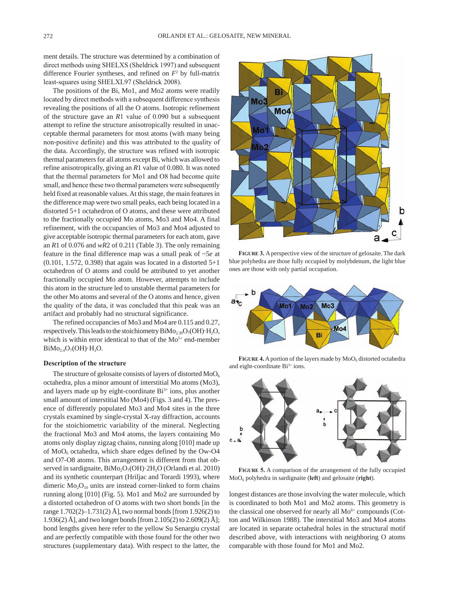ment details. The structure was determined by a combination of direct methods using SHELXS (Sheldrick 1997) and subsequent difference Fourier syntheses, and refined on *F*<sup>2</sup> by full-matrix least-squares using SHELXL97 (Sheldrick 2008).

The positions of the Bi, Mo1, and Mo2 atoms were readily located by direct methods with a subsequent difference synthesis revealing the positions of all the O atoms. Isotropic refinement of the structure gave an *R*1 value of 0.090 but a subsequent attempt to refine the structure anisotropically resulted in unacceptable thermal parameters for most atoms (with many being non-positive definite) and this was attributed to the quality of the data. Accordingly, the structure was refined with isotropic thermal parameters for all atoms except Bi, which was allowed to refine anisotropically, giving an *R*1 value of 0.080. It was noted that the thermal parameters for Mo1 and O8 had become quite small, and hence these two thermal parameters were subsequently held fixed at reasonable values. At this stage, the main features in the difference map were two small peaks, each being located in a distorted 5+1 octahedron of O atoms, and these were attributed to the fractionally occupied Mo atoms, Mo3 and Mo4. A final refinement, with the occupancies of Mo3 and Mo4 adjusted to give acceptable isotropic thermal parameters for each atom, gave an *R*1 of 0.076 and *wR*2 of 0.211 (Table 3). The only remaining feature in the final difference map was a small peak of ~5*e* at  $(0.101, 1.572, 0.398)$  that again was located in a distorted  $5+1$ octahedron of O atoms and could be attributed to yet another fractionally occupied Mo atom. However, attempts to include this atom in the structure led to unstable thermal parameters for the other Mo atoms and several of the O atoms and hence, given the quality of the data, it was concluded that this peak was an artifact and probably had no structural significance.

The refined occupancies of Mo3 and Mo4 are 0.115 and 0.27, respectively. This leads to the stoichiometry  $\text{BiMo}_{2.39}\text{O}_7(\text{OH})\cdot\text{H}_2\text{O}$ , which is within error identical to that of the  $Mo^{5+}$  end-member  $BiMo_{2.4}O_7(OH)·H_2O.$ 

#### **Description of the structure**

The structure of gelosaite consists of layers of distorted  $MoO<sub>6</sub>$ octahedra, plus a minor amount of interstitial Mo atoms (Mo3), and layers made up by eight-coordinate  $Bi^{3+}$  ions, plus another small amount of interstitial Mo (Mo4) (Figs. 3 and 4). The presence of differently populated Mo3 and Mo4 sites in the three crystals examined by single-crystal X-ray diffraction, accounts for the stoichiometric variability of the mineral. Neglecting the fractional Mo3 and Mo4 atoms, the layers containing Mo atoms only display zigzag chains, running along [010] made up of  $MoO<sub>6</sub>$  octahedra, which share edges defined by the Ow-O4 and O7-O8 atoms. This arrangement is different from that observed in sardignaite, BiMo<sub>2</sub>O<sub>7</sub>(OH)·2H<sub>2</sub>O (Orlandi et al. 2010) and its synthetic counterpart (Hriljac and Torardi 1993), where dimeric  $Mo<sub>2</sub>O<sub>10</sub>$  units are instead corner-linked to form chains running along [010] (Fig. 5). Mo1 and Mo2 are surrounded by a distorted octahedron of O atoms with two short bonds [in the range 1.702(2)–1.731(2) Å], two normal bonds [from 1.926(2) to 1.936(2) Å], and two longer bonds [from 2.105(2) to 2.609(2) Å]; bond lengths given here refer to the yellow Su Senargiu crystal and are perfectly compatible with those found for the other two structures (supplementary data). With respect to the latter, the



**Figure 3.** A perspective view of the structure of gelosaite. The dark blue polyhedra are those fully occupied by molybdenum, the light blue ones are those with only partial occupation.







**Figure 5.** A comparison of the arrangement of the fully occupied MoO6 polyhedra in sardignaite (**left**) and gelosaite (**right**).

longest distances are those involving the water molecule, which is coordinated to both Mo1 and Mo2 atoms. This geometry is the classical one observed for nearly all  $Mo<sup>6+</sup>$  compounds (Cotton and Wilkinson 1988). The interstitial Mo3 and Mo4 atoms are located in separate octahedral holes in the structural motif described above, with interactions with neighboring O atoms comparable with those found for Mo1 and Mo2.